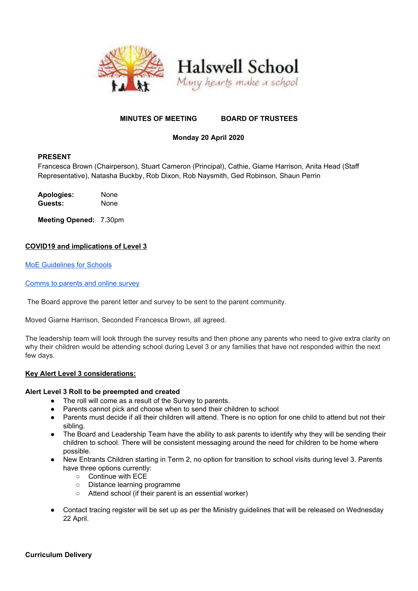

## **MINUTES OF MEETING BOARD OF TRUSTEES**

# **Monday 20 April 2020**

## **PRESENT**

Francesca Brown (Chairperson), Stuart Cameron (Principal), Cathie, Giarne Harrison, Anita Head (Staff Representative), Natasha Buckby, Rob Dixon, Rob Naysmith, Ged Robinson, Shaun Perrin

**Apologies:** None **Guests:** None

**Meeting Opened:** 7.30pm

## **COVID19 and implications of Level 3**

MoE [Guidelines](https://minedu.cwp.govt.nz/assets/Documents/School/SchoolsBulletin/2020-Bulletins/FINALAPR17Education-detail-for-alert-levels.pdf) for Schools

#### [Comms](https://docs.google.com/document/d/16JDi1AkXVebxU1BfyyNhFTRQwGgB2W6Hu4XCnHoQfg4/edit) to parents and online survey

The Board approve the parent letter and survey to be sent to the parent community.

Moved Giarne Harrison, Seconded Francesca Brown, all agreed.

The leadership team will look through the survey results and then phone any parents who need to give extra clarity on why their children would be attending school during Level 3 or any families that have not responded within the next few days.

#### **Key Alert Level 3 considerations:**

#### **Alert Level 3 Roll to be preempted and created**

- The roll will come as a result of the Survey to parents.
- Parents cannot pick and choose when to send their children to school
- Parents must decide if all their children will attend. There is no option for one child to attend but not their sibling.
- The Board and Leadership Team have the ability to ask parents to identify why they will be sending their children to school. There will be consistent messaging around the need for children to be home where possible.
- New Entrants Children starting in Term 2, no option for transition to school visits during level 3. Parents have three options currently:
	- Continue with ECE
	- Distance learning programme
	- Attend school (if their parent is an essential worker)
- Contact tracing register will be set up as per the Ministry guidelines that will be released on Wednesday 22 April.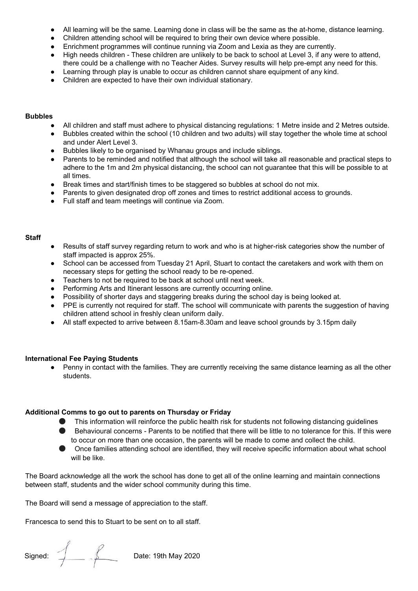- All learning will be the same. Learning done in class will be the same as the at-home, distance learning.
- Children attending school will be required to bring their own device where possible.
- Enrichment programmes will continue running via Zoom and Lexia as they are currently.
- High needs children These children are unlikely to be back to school at Level 3, if any were to attend, there could be a challenge with no Teacher Aides. Survey results will help pre-empt any need for this.
- Learning through play is unable to occur as children cannot share equipment of any kind.
- Children are expected to have their own individual stationary.

#### **Bubbles**

- All children and staff must adhere to physical distancing regulations: 1 Metre inside and 2 Metres outside.
- Bubbles created within the school (10 children and two adults) will stay together the whole time at school and under Alert Level 3.
- Bubbles likely to be organised by Whanau groups and include siblings.
- Parents to be reminded and notified that although the school will take all reasonable and practical steps to adhere to the 1m and 2m physical distancing, the school can not guarantee that this will be possible to at all times.
- Break times and start/finish times to be staggered so bubbles at school do not mix.
- Parents to given designated drop off zones and times to restrict additional access to grounds.
- Full staff and team meetings will continue via Zoom.

#### **Staff**

- Results of staff survey regarding return to work and who is at higher-risk categories show the number of staff impacted is approx 25%.
- School can be accessed from Tuesday 21 April, Stuart to contact the caretakers and work with them on necessary steps for getting the school ready to be re-opened.
- Teachers to not be required to be back at school until next week.
- Performing Arts and Itinerant lessons are currently occurring online.
- Possibility of shorter days and staggering breaks during the school day is being looked at.
- PPE is currently not required for staff. The school will communicate with parents the suggestion of having children attend school in freshly clean uniform daily.
- All staff expected to arrive between 8.15am-8.30am and leave school grounds by 3.15pm daily

#### **International Fee Paying Students**

● Penny in contact with the families. They are currently receiving the same distance learning as all the other students.

#### **Additional Comms to go out to parents on Thursday or Friday**

- **•** This information will reinforce the public health risk for students not following distancing guidelines
- Behavioural concerns Parents to be notified that there will be little to no tolerance for this. If this were to occur on more than one occasion, the parents will be made to come and collect the child.
- Once families attending school are identified, they will receive specific information about what school will be like.

The Board acknowledge all the work the school has done to get all of the online learning and maintain connections between staff, students and the wider school community during this time.

The Board will send a message of appreciation to the staff.

Francesca to send this to Stuart to be sent on to all staff.

Signed: Date: 19th May 2020